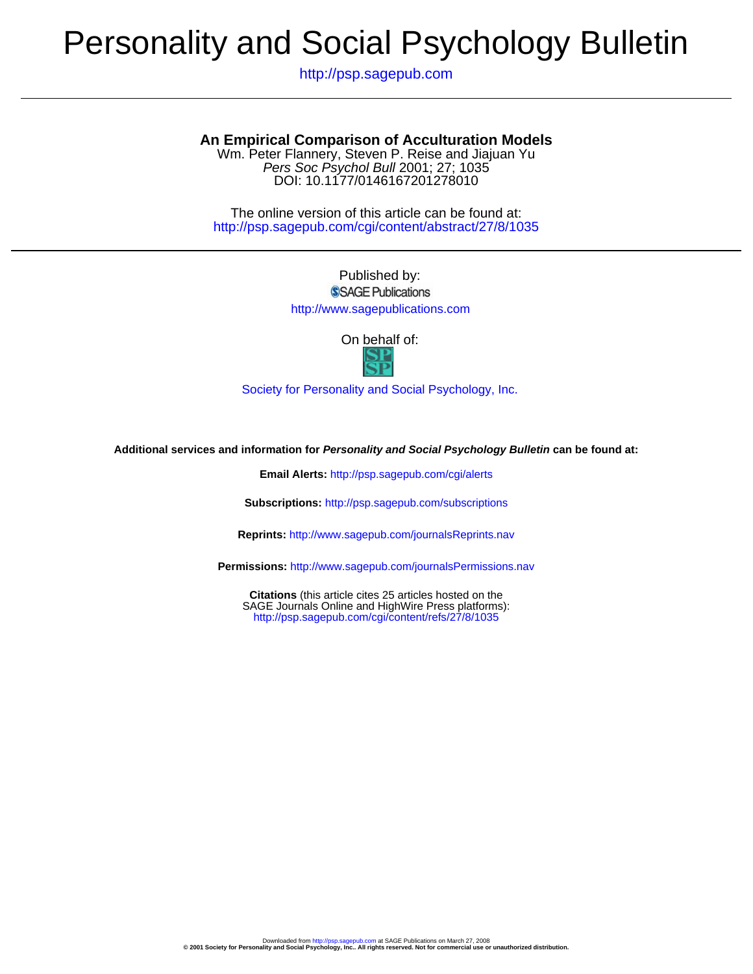# Personality and Social Psychology Bulletin

http://psp.sagepub.com

## **An Empirical Comparison of Acculturation Models**

DOI: 10.1177/0146167201278010 Pers Soc Psychol Bull 2001; 27; 1035 Wm. Peter Flannery, Steven P. Reise and Jiajuan Yu

http://psp.sagepub.com/cgi/content/abstract/27/8/1035 The online version of this article can be found at:

> Published by: SSAGE Publications

http://www.sagepublications.com

On behalf of:



[Society for Personality and Social Psychology, Inc.](http://www.spsp.org/)

**Additional services and information for Personality and Social Psychology Bulletin can be found at:**

**Email Alerts:** <http://psp.sagepub.com/cgi/alerts>

**Subscriptions:** <http://psp.sagepub.com/subscriptions>

**Reprints:** <http://www.sagepub.com/journalsReprints.nav>

**Permissions:** <http://www.sagepub.com/journalsPermissions.nav>

<http://psp.sagepub.com/cgi/content/refs/27/8/1035> SAGE Journals Online and HighWire Press platforms): **Citations** (this article cites 25 articles hosted on the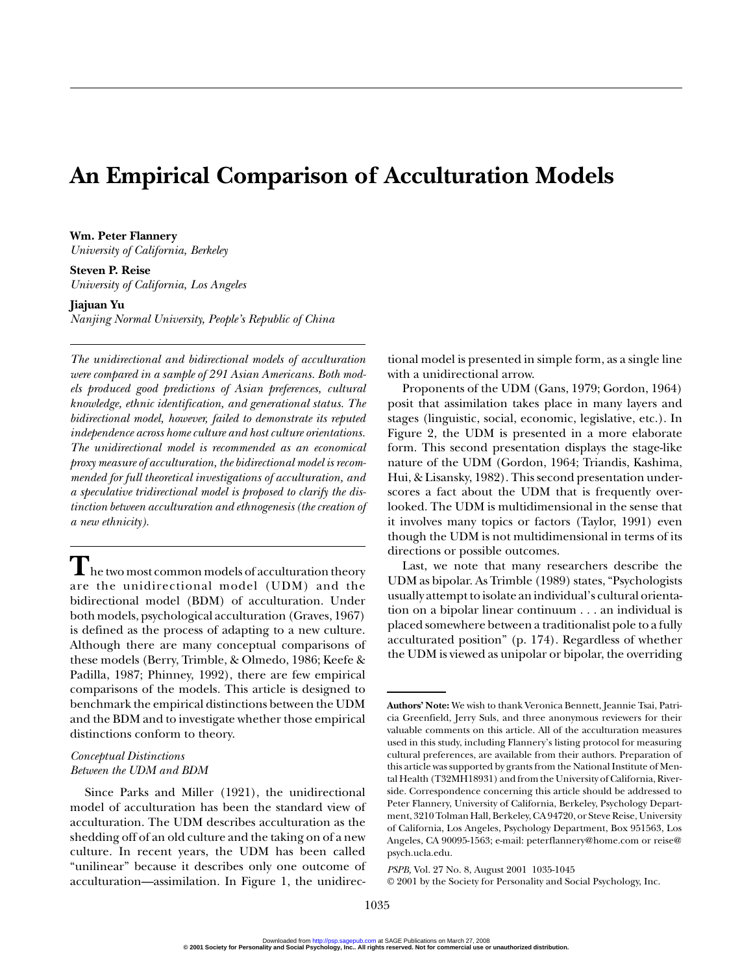# **An Empirical Comparison of Acculturation Models**

**Wm. Peter Flannery** *University of California, Berkeley*

**Steven P. Reise** *University of California, Los Angeles*

#### **Jiajuan Yu**

*Nanjing Normal University, People's Republic of China*

*The unidirectional and bidirectional models of acculturation were compared in a sample of 291 Asian Americans. Both models produced good predictions of Asian preferences, cultural knowledge, ethnic identification, and generational status. The bidirectional model, however, failed to demonstrate its reputed independence across home culture and host culture orientations. The unidirectional model is recommended as an economical proxy measure of acculturation, the bidirectional model is recommended for full theoretical investigations of acculturation, and a speculative tridirectional model is proposed to clarify the distinction between acculturation and ethnogenesis (the creation of a new ethnicity).*

 $\blacksquare$  he two most common models of acculturation theory are the unidirectional model (UDM) and the bidirectional model (BDM) of acculturation. Under both models, psychological acculturation (Graves, 1967) is defined as the process of adapting to a new culture. Although there are many conceptual comparisons of these models (Berry, Trimble, & Olmedo, 1986; Keefe & Padilla, 1987; Phinney, 1992), there are few empirical comparisons of the models. This article is designed to benchmark the empirical distinctions between the UDM and the BDM and to investigate whether those empirical distinctions conform to theory.

### *Conceptual Distinctions Between the UDM and BDM*

Since Parks and Miller (1921), the unidirectional model of acculturation has been the standard view of acculturation. The UDM describes acculturation as the shedding off of an old culture and the taking on of a new culture. In recent years, the UDM has been called "unilinear" because it describes only one outcome of acculturation—assimilation. In Figure 1, the unidirec-

tional model is presented in simple form, as a single line with a unidirectional arrow.

Proponents of the UDM (Gans, 1979; Gordon, 1964) posit that assimilation takes place in many layers and stages (linguistic, social, economic, legislative, etc.). In Figure 2, the UDM is presented in a more elaborate form. This second presentation displays the stage-like nature of the UDM (Gordon, 1964; Triandis, Kashima, Hui, & Lisansky, 1982). This second presentation underscores a fact about the UDM that is frequently overlooked. The UDM is multidimensional in the sense that it involves many topics or factors (Taylor, 1991) even though the UDM is not multidimensional in terms of its directions or possible outcomes.

Last, we note that many researchers describe the UDM as bipolar. As Trimble (1989) states, "Psychologists usually attempt to isolate an individual's cultural orientation on a bipolar linear continuum . . . an individual is placed somewhere between a traditionalist pole to a fully acculturated position" (p. 174). Regardless of whether the UDM is viewed as unipolar or bipolar, the overriding

**Authors' Note:** We wish to thank Veronica Bennett, Jeannie Tsai, Patricia Greenfield, Jerry Suls, and three anonymous reviewers for their valuable comments on this article. All of the acculturation measures used in this study, including Flannery's listing protocol for measuring cultural preferences, are available from their authors. Preparation of this article was supported by grants from the National Institute of Mental Health (T32MH18931) and from the University of California, Riverside. Correspondence concerning this article should be addressed to Peter Flannery, University of California, Berkeley, Psychology Department, 3210 Tolman Hall, Berkeley, CA 94720, or Steve Reise, University of California, Los Angeles, Psychology Department, Box 951563, Los Angeles, CA 90095-1563; e-mail: peterflannery@home.com or reise@ psych.ucla.edu.

*PSPB,* Vol. 27 No. 8, August 2001 1035-1045

<sup>© 2001</sup> by the Society for Personality and Social Psychology, Inc.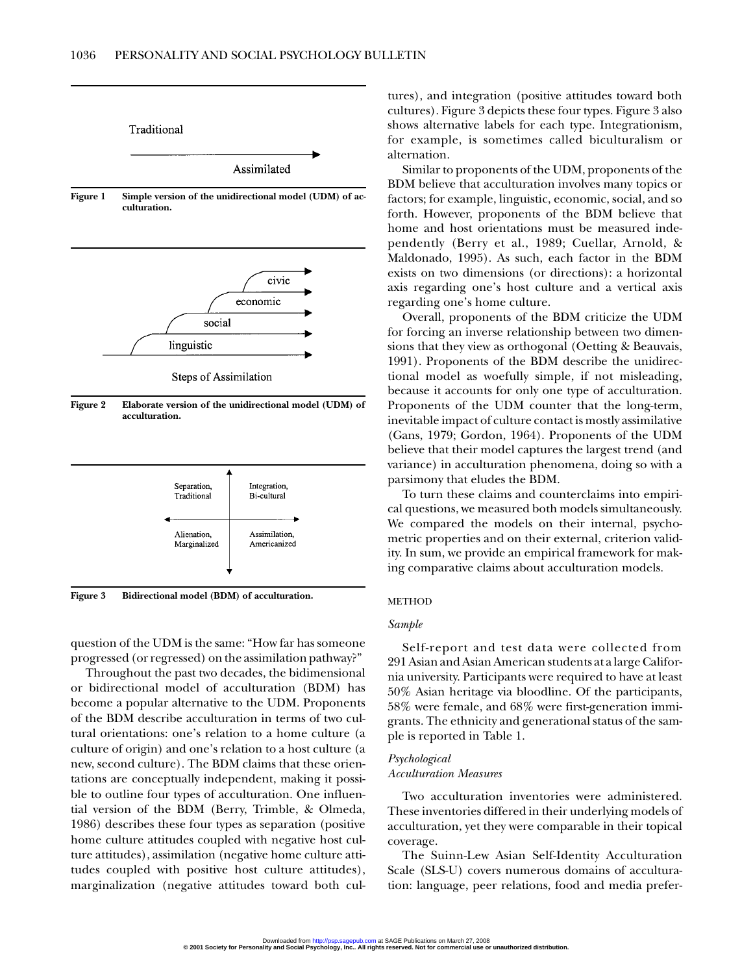

**Figure 2 Elaborate version of the unidirectional model (UDM) of acculturation.**



**Figure 3 Bidirectional model (BDM) of acculturation.**

question of the UDM is the same: "How far has someone progressed (or regressed) on the assimilation pathway?"

Throughout the past two decades, the bidimensional or bidirectional model of acculturation (BDM) has become a popular alternative to the UDM. Proponents of the BDM describe acculturation in terms of two cultural orientations: one's relation to a home culture (a culture of origin) and one's relation to a host culture (a new, second culture). The BDM claims that these orientations are conceptually independent, making it possible to outline four types of acculturation. One influential version of the BDM (Berry, Trimble, & Olmeda, 1986) describes these four types as separation (positive home culture attitudes coupled with negative host culture attitudes), assimilation (negative home culture attitudes coupled with positive host culture attitudes), marginalization (negative attitudes toward both cultures), and integration (positive attitudes toward both cultures). Figure 3 depicts these four types. Figure 3 also shows alternative labels for each type. Integrationism, for example, is sometimes called biculturalism or alternation.

Similar to proponents of the UDM, proponents of the BDM believe that acculturation involves many topics or factors; for example, linguistic, economic, social, and so forth. However, proponents of the BDM believe that home and host orientations must be measured independently (Berry et al., 1989; Cuellar, Arnold, & Maldonado, 1995). As such, each factor in the BDM exists on two dimensions (or directions): a horizontal axis regarding one's host culture and a vertical axis regarding one's home culture.

Overall, proponents of the BDM criticize the UDM for forcing an inverse relationship between two dimensions that they view as orthogonal (Oetting & Beauvais, 1991). Proponents of the BDM describe the unidirectional model as woefully simple, if not misleading, because it accounts for only one type of acculturation. Proponents of the UDM counter that the long-term, inevitable impact of culture contact is mostly assimilative (Gans, 1979; Gordon, 1964). Proponents of the UDM believe that their model captures the largest trend (and variance) in acculturation phenomena, doing so with a parsimony that eludes the BDM.

To turn these claims and counterclaims into empirical questions, we measured both models simultaneously. We compared the models on their internal, psychometric properties and on their external, criterion validity. In sum, we provide an empirical framework for making comparative claims about acculturation models.

#### METHOD

#### *Sample*

Self-report and test data were collected from 291 Asian and Asian American students at a large California university. Participants were required to have at least 50% Asian heritage via bloodline. Of the participants, 58% were female, and 68% were first-generation immigrants. The ethnicity and generational status of the sample is reported in Table 1.

#### *Psychological Acculturation Measures*

Two acculturation inventories were administered. These inventories differed in their underlying models of acculturation, yet they were comparable in their topical coverage.

The Suinn-Lew Asian Self-Identity Acculturation Scale (SLS-U) covers numerous domains of acculturation: language, peer relations, food and media prefer-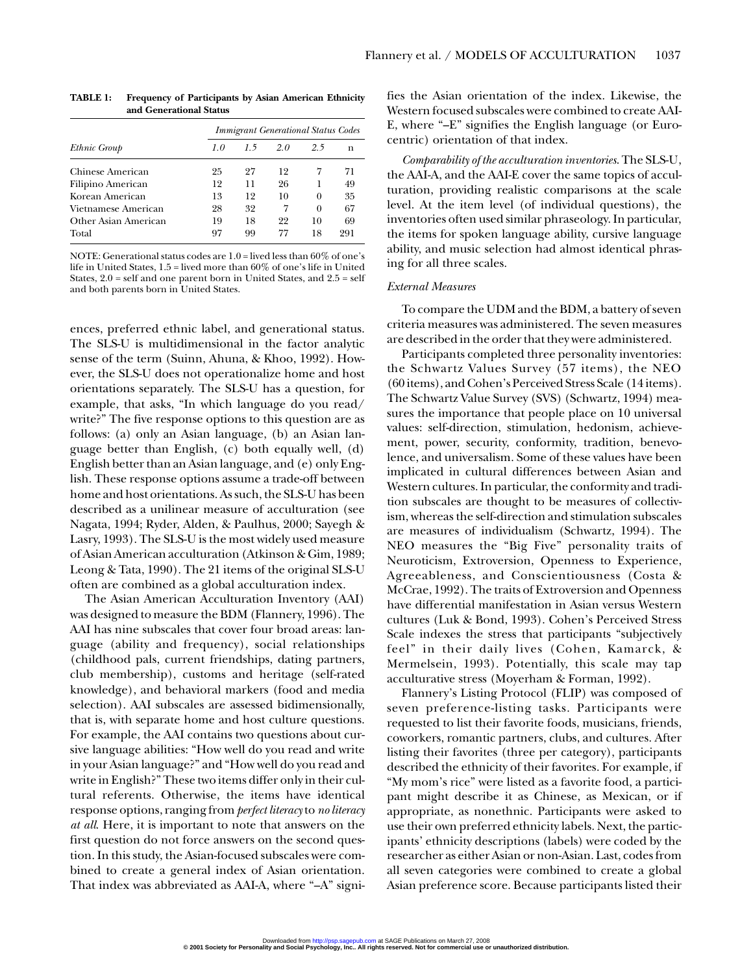|                      | <b>Immigrant Generational Status Codes</b> |    |    |          |     |  |
|----------------------|--------------------------------------------|----|----|----------|-----|--|
| Ethnic Group         | 1.0                                        | 15 | 20 | 25       | n   |  |
| Chinese American     | 25                                         | 27 | 12 |          | 71  |  |
| Filipino American    | 12                                         | 11 | 26 |          | 49  |  |
| Korean American      | 13                                         | 12 | 10 | $\Omega$ | 35  |  |
| Vietnamese American  | 28                                         | 32 | 7  | $\theta$ | 67  |  |
| Other Asian American | 19                                         | 18 | 22 | 10       | 69  |  |
| Total                | 97                                         | 99 | 77 | 18       | 291 |  |

**TABLE 1: Frequency of Participants by Asian American Ethnicity and Generational Status**

NOTE: Generational status codes are 1.0 = lived less than 60% of one's life in United States, 1.5 = lived more than 60% of one's life in United States,  $2.0$  = self and one parent born in United States, and  $2.5$  = self and both parents born in United States.

ences, preferred ethnic label, and generational status. The SLS-U is multidimensional in the factor analytic sense of the term (Suinn, Ahuna, & Khoo, 1992). However, the SLS-U does not operationalize home and host orientations separately. The SLS-U has a question, for example, that asks, "In which language do you read/ write?" The five response options to this question are as follows: (a) only an Asian language, (b) an Asian language better than English, (c) both equally well, (d) English better than an Asian language, and (e) only English. These response options assume a trade-off between home and host orientations. As such, the SLS-U has been described as a unilinear measure of acculturation (see Nagata, 1994; Ryder, Alden, & Paulhus, 2000; Sayegh & Lasry, 1993). The SLS-U is the most widely used measure of Asian American acculturation (Atkinson & Gim, 1989; Leong & Tata, 1990). The 21 items of the original SLS-U often are combined as a global acculturation index.

The Asian American Acculturation Inventory (AAI) was designed to measure the BDM (Flannery, 1996). The AAI has nine subscales that cover four broad areas: language (ability and frequency), social relationships (childhood pals, current friendships, dating partners, club membership), customs and heritage (self-rated knowledge), and behavioral markers (food and media selection). AAI subscales are assessed bidimensionally, that is, with separate home and host culture questions. For example, the AAI contains two questions about cursive language abilities: "How well do you read and write in your Asian language?" and "How well do you read and write in English?" These two items differ only in their cultural referents. Otherwise, the items have identical response options, ranging from *perfect literacy*to *no literacy at all*. Here, it is important to note that answers on the first question do not force answers on the second question. In this study, the Asian-focused subscales were combined to create a general index of Asian orientation. That index was abbreviated as AAI-A, where "–A" signifies the Asian orientation of the index. Likewise, the Western focused subscales were combined to create AAI-E, where "–E" signifies the English language (or Eurocentric) orientation of that index.

*Comparability of the acculturation inventories*. The SLS-U, the AAI-A, and the AAI-E cover the same topics of acculturation, providing realistic comparisons at the scale level. At the item level (of individual questions), the inventories often used similar phraseology. In particular, the items for spoken language ability, cursive language ability, and music selection had almost identical phrasing for all three scales.

#### *External Measures*

To compare the UDM and the BDM, a battery of seven criteria measures was administered. The seven measures are described in the order that they were administered.

Participants completed three personality inventories: the Schwartz Values Survey (57 items), the NEO (60 items), and Cohen's Perceived Stress Scale (14 items). The Schwartz Value Survey (SVS) (Schwartz, 1994) measures the importance that people place on 10 universal values: self-direction, stimulation, hedonism, achievement, power, security, conformity, tradition, benevolence, and universalism. Some of these values have been implicated in cultural differences between Asian and Western cultures. In particular, the conformity and tradition subscales are thought to be measures of collectivism, whereas the self-direction and stimulation subscales are measures of individualism (Schwartz, 1994). The NEO measures the "Big Five" personality traits of Neuroticism, Extroversion, Openness to Experience, Agreeableness, and Conscientiousness (Costa & McCrae, 1992). The traits of Extroversion and Openness have differential manifestation in Asian versus Western cultures (Luk & Bond, 1993). Cohen's Perceived Stress Scale indexes the stress that participants "subjectively feel" in their daily lives (Cohen, Kamarck, & Mermelsein, 1993). Potentially, this scale may tap acculturative stress (Moyerham & Forman, 1992).

Flannery's Listing Protocol (FLIP) was composed of seven preference-listing tasks. Participants were requested to list their favorite foods, musicians, friends, coworkers, romantic partners, clubs, and cultures. After listing their favorites (three per category), participants described the ethnicity of their favorites. For example, if "My mom's rice" were listed as a favorite food, a participant might describe it as Chinese, as Mexican, or if appropriate, as nonethnic. Participants were asked to use their own preferred ethnicity labels. Next, the participants' ethnicity descriptions (labels) were coded by the researcher as either Asian or non-Asian. Last, codes from all seven categories were combined to create a global Asian preference score. Because participants listed their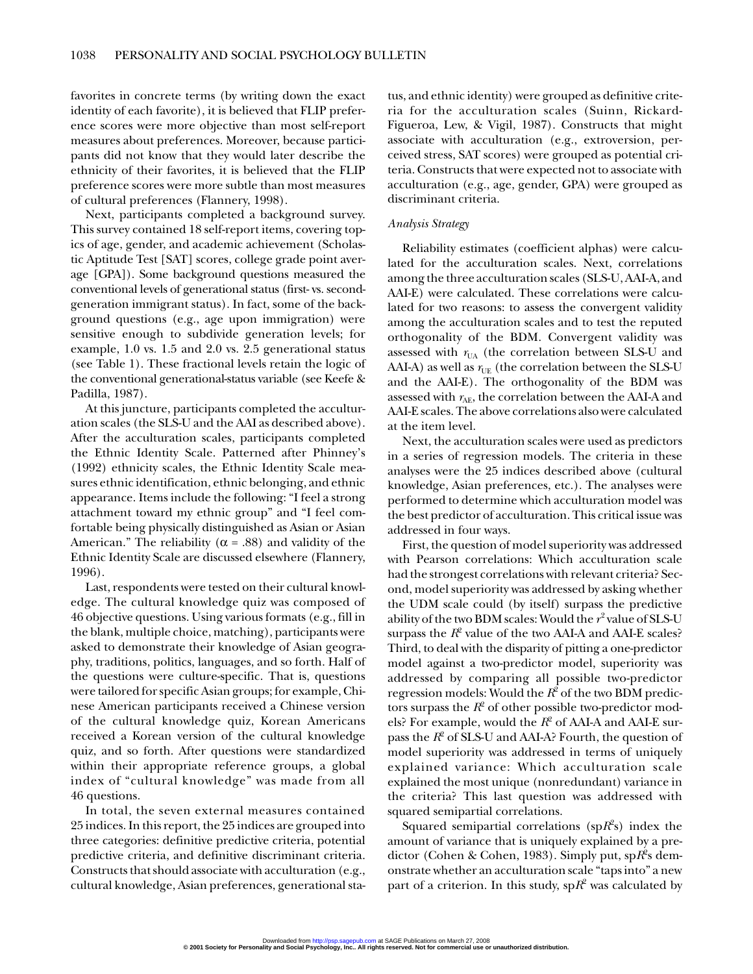favorites in concrete terms (by writing down the exact identity of each favorite), it is believed that FLIP preference scores were more objective than most self-report measures about preferences. Moreover, because participants did not know that they would later describe the ethnicity of their favorites, it is believed that the FLIP preference scores were more subtle than most measures of cultural preferences (Flannery, 1998).

Next, participants completed a background survey. This survey contained 18 self-report items, covering topics of age, gender, and academic achievement (Scholastic Aptitude Test [SAT] scores, college grade point average [GPA]). Some background questions measured the conventional levels of generational status (first- vs. secondgeneration immigrant status). In fact, some of the background questions (e.g., age upon immigration) were sensitive enough to subdivide generation levels; for example, 1.0 vs. 1.5 and 2.0 vs. 2.5 generational status (see Table 1). These fractional levels retain the logic of the conventional generational-status variable (see Keefe & Padilla, 1987).

At this juncture, participants completed the acculturation scales (the SLS-U and the AAI as described above). After the acculturation scales, participants completed the Ethnic Identity Scale. Patterned after Phinney's (1992) ethnicity scales, the Ethnic Identity Scale measures ethnic identification, ethnic belonging, and ethnic appearance. Items include the following: "I feel a strong attachment toward my ethnic group" and "I feel comfortable being physically distinguished as Asian or Asian American." The reliability ( $\alpha$  = .88) and validity of the Ethnic Identity Scale are discussed elsewhere (Flannery, 1996).

Last, respondents were tested on their cultural knowledge. The cultural knowledge quiz was composed of 46 objective questions. Using various formats (e.g., fill in the blank, multiple choice, matching), participants were asked to demonstrate their knowledge of Asian geography, traditions, politics, languages, and so forth. Half of the questions were culture-specific. That is, questions were tailored for specific Asian groups; for example, Chinese American participants received a Chinese version of the cultural knowledge quiz, Korean Americans received a Korean version of the cultural knowledge quiz, and so forth. After questions were standardized within their appropriate reference groups, a global index of "cultural knowledge" was made from all 46 questions.

In total, the seven external measures contained 25 indices. In this report, the 25 indices are grouped into three categories: definitive predictive criteria, potential predictive criteria, and definitive discriminant criteria. Constructs that should associate with acculturation (e.g., cultural knowledge, Asian preferences, generational status, and ethnic identity) were grouped as definitive criteria for the acculturation scales (Suinn, Rickard-Figueroa, Lew, & Vigil, 1987). Constructs that might associate with acculturation (e.g., extroversion, perceived stress, SAT scores) were grouped as potential criteria. Constructs that were expected not to associate with acculturation (e.g., age, gender, GPA) were grouped as discriminant criteria.

#### *Analysis Strategy*

Reliability estimates (coefficient alphas) were calculated for the acculturation scales. Next, correlations among the three acculturation scales (SLS-U, AAI-A, and AAI-E) were calculated. These correlations were calculated for two reasons: to assess the convergent validity among the acculturation scales and to test the reputed orthogonality of the BDM. Convergent validity was assessed with  $r_{\text{UA}}$  (the correlation between SLS-U and AAI-A) as well as  $r_{\text{UE}}$  (the correlation between the SLS-U and the AAI-E). The orthogonality of the BDM was assessed with  $r_{AE}$ , the correlation between the AAI-A and AAI-E scales. The above correlations also were calculated at the item level.

Next, the acculturation scales were used as predictors in a series of regression models. The criteria in these analyses were the 25 indices described above (cultural knowledge, Asian preferences, etc.). The analyses were performed to determine which acculturation model was the best predictor of acculturation. This critical issue was addressed in four ways.

First, the question of model superiority was addressed with Pearson correlations: Which acculturation scale had the strongest correlations with relevant criteria? Second, model superiority was addressed by asking whether the UDM scale could (by itself) surpass the predictive ability of the two BDM scales: Would the *r*<sup>2</sup> value of SLS-U surpass the  $R^2$  value of the two AAI-A and AAI-E scales? Third, to deal with the disparity of pitting a one-predictor model against a two-predictor model, superiority was addressed by comparing all possible two-predictor regression models: Would the  $R^2$  of the two BDM predictors surpass the  $R^2$  of other possible two-predictor models? For example, would the  $R^2$  of AAI-A and AAI-E surpass the  $R^2$  of SLS-U and AAI-A? Fourth, the question of model superiority was addressed in terms of uniquely explained variance: Which acculturation scale explained the most unique (nonredundant) variance in the criteria? This last question was addressed with squared semipartial correlations.

Squared semipartial correlations ( $spR^2s$ ) index the amount of variance that is uniquely explained by a predictor (Cohen & Cohen, 1983). Simply put, sp $R^2$ s demonstrate whether an acculturation scale "taps into" a new part of a criterion. In this study,  $spR^2$  was calculated by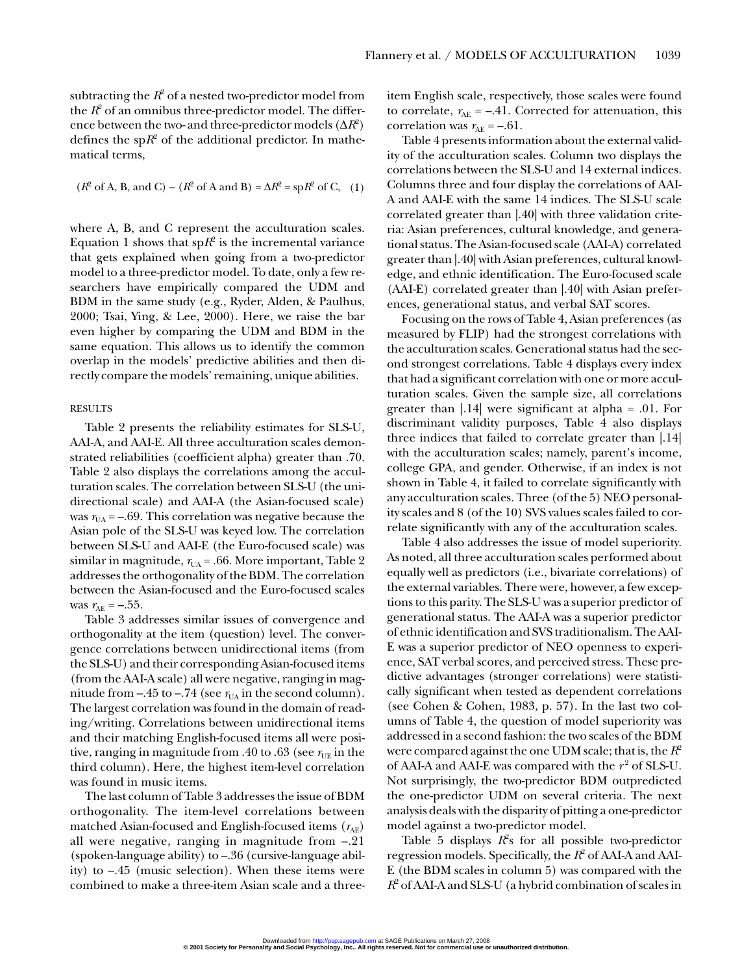subtracting the  $R^2$  of a nested two-predictor model from the  $R^2$  of an omnibus three-predictor model. The difference between the two- and three-predictor models  $(\Delta R^2)$ defines the sp $R^2$  of the additional predictor. In mathematical terms,

$$
(R^2 \text{ of } A, B, \text{ and } C) - (R^2 \text{ of } A \text{ and } B) = \Delta R^2 = \text{sp}(R^2 \text{ of } C, (1))
$$

where A, B, and C represent the acculturation scales. Equation 1 shows that  $spR^2$  is the incremental variance that gets explained when going from a two-predictor model to a three-predictor model. To date, only a few researchers have empirically compared the UDM and BDM in the same study (e.g., Ryder, Alden, & Paulhus, 2000; Tsai, Ying, & Lee, 2000). Here, we raise the bar even higher by comparing the UDM and BDM in the same equation. This allows us to identify the common overlap in the models' predictive abilities and then directly compare the models' remaining, unique abilities.

#### RESULTS

Table 2 presents the reliability estimates for SLS-U, AAI-A, and AAI-E. All three acculturation scales demonstrated reliabilities (coefficient alpha) greater than .70. Table 2 also displays the correlations among the acculturation scales. The correlation between SLS-U (the unidirectional scale) and AAI-A (the Asian-focused scale) was  $r_{\text{UA}} = -.69$ . This correlation was negative because the Asian pole of the SLS-U was keyed low. The correlation between SLS-U and AAI-E (the Euro-focused scale) was similar in magnitude,  $r_{UA} = .66$ . More important, Table 2 addresses the orthogonality of the BDM. The correlation between the Asian-focused and the Euro-focused scales was  $r_{AE} = -.55$ .

Table 3 addresses similar issues of convergence and orthogonality at the item (question) level. The convergence correlations between unidirectional items (from the SLS-U) and their corresponding Asian-focused items (from the AAI-A scale) all were negative, ranging in magnitude from  $-.45$  to  $-.74$  (see  $r_{UA}$  in the second column). The largest correlation was found in the domain of reading/writing. Correlations between unidirectional items and their matching English-focused items all were positive, ranging in magnitude from .40 to .63 (see  $r_{UE}$  in the third column). Here, the highest item-level correlation was found in music items.

The last column of Table 3 addresses the issue of BDM orthogonality. The item-level correlations between matched Asian-focused and English-focused items  $(r_{AF})$ all were negative, ranging in magnitude from –.21 (spoken-language ability) to –.36 (cursive-language ability) to –.45 (music selection). When these items were combined to make a three-item Asian scale and a threeitem English scale, respectively, those scales were found to correlate,  $r_{AE} = -.41$ . Corrected for attenuation, this correlation was  $r_{AE} = -.61$ .

Table 4 presents information about the external validity of the acculturation scales. Column two displays the correlations between the SLS-U and 14 external indices. Columns three and four display the correlations of AAI-A and AAI-E with the same 14 indices. The SLS-U scale correlated greater than |.40| with three validation criteria: Asian preferences, cultural knowledge, and generational status. The Asian-focused scale (AAI-A) correlated greater than |.40| with Asian preferences, cultural knowledge, and ethnic identification. The Euro-focused scale (AAI-E) correlated greater than |.40| with Asian preferences, generational status, and verbal SAT scores.

Focusing on the rows of Table 4, Asian preferences (as measured by FLIP) had the strongest correlations with the acculturation scales. Generational status had the second strongest correlations. Table 4 displays every index that had a significant correlation with one or more acculturation scales. Given the sample size, all correlations greater than |.14| were significant at alpha = .01. For discriminant validity purposes, Table 4 also displays three indices that failed to correlate greater than |.14| with the acculturation scales; namely, parent's income, college GPA, and gender. Otherwise, if an index is not shown in Table 4, it failed to correlate significantly with any acculturation scales. Three (of the 5) NEO personality scales and 8 (of the 10) SVS values scales failed to correlate significantly with any of the acculturation scales.

Table 4 also addresses the issue of model superiority. As noted, all three acculturation scales performed about equally well as predictors (i.e., bivariate correlations) of the external variables. There were, however, a few exceptions to this parity. The SLS-U was a superior predictor of generational status. The AAI-A was a superior predictor of ethnic identification and SVS traditionalism. The AAI-E was a superior predictor of NEO openness to experience, SAT verbal scores, and perceived stress. These predictive advantages (stronger correlations) were statistically significant when tested as dependent correlations (see Cohen & Cohen, 1983, p. 57). In the last two columns of Table 4, the question of model superiority was addressed in a second fashion: the two scales of the BDM were compared against the one UDM scale; that is, the *R*<sup>2</sup> of AAI-A and AAI-E was compared with the  $r^2$  of SLS-U. Not surprisingly, the two-predictor BDM outpredicted the one-predictor UDM on several criteria. The next analysis deals with the disparity of pitting a one-predictor model against a two-predictor model.

Table 5 displays  $R^2$ s for all possible two-predictor regression models. Specifically, the *R*<sup>2</sup> of AAI-A and AAI-E (the BDM scales in column 5) was compared with the *R*<sup>2</sup> of AAI-A and SLS-U (a hybrid combination of scales in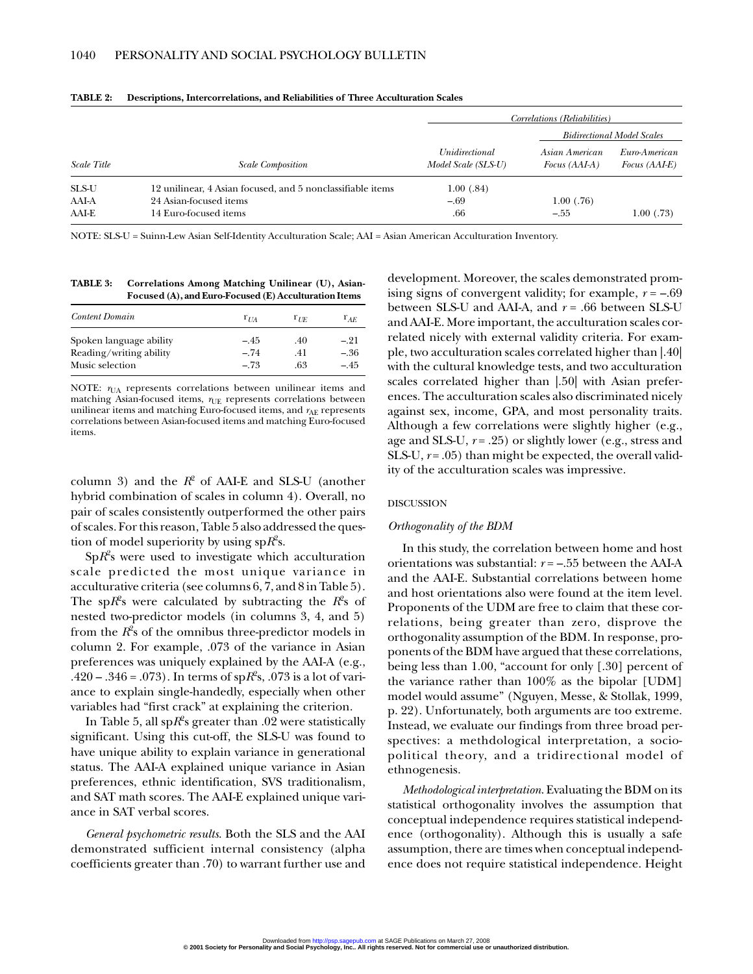|                    |                                                            | Correlations (Reliabilities)          |                                   |                                       |  |
|--------------------|------------------------------------------------------------|---------------------------------------|-----------------------------------|---------------------------------------|--|
|                    |                                                            |                                       | <b>Bidirectional Model Scales</b> |                                       |  |
| <b>Scale Title</b> | <b>Scale Composition</b>                                   | Unidirectional<br>Model Scale (SLS-U) | Asian American<br>Focus (AAI-A)   | Euro-American<br><i>Focus (AAI-E)</i> |  |
| SLS-U              | 12 unilinear, 4 Asian focused, and 5 nonclassifiable items | 1.00(0.84)                            |                                   |                                       |  |
| AAI-A              | 24 Asian-focused items                                     | $-.69$                                | 1.00(0.76)                        |                                       |  |
| AAI-E              | 14 Euro-focused items                                      | .66                                   | $-.55$                            | 1.00(0.73)                            |  |

**TABLE 2: Descriptions, Intercorrelations, and Reliabilities of Three Acculturation Scales**

NOTE: SLS-U = Suinn-Lew Asian Self-Identity Acculturation Scale; AAI = Asian American Acculturation Inventory.

**TABLE 3: Correlations Among Matching Unilinear (U), Asian-Focused (A), and Euro-Focused (E) Acculturation Items**

| $r_{IIA}$        | $r_{I\overline{E}}$ | $r_{AF}$                   |
|------------------|---------------------|----------------------------|
| $-.45$<br>$-.74$ | .40<br>.41          | $-.21$<br>$-.36$<br>$-.45$ |
|                  | $-.73$              | .63                        |

NOTE:  $r_{\text{UA}}$  represents correlations between unilinear items and matching Asian-focused items,  $r_\mathrm{UE}$  represents correlations between unilinear items and matching Euro-focused items, and  $r_\mathrm{AE}$  represents correlations between Asian-focused items and matching Euro-focused items.

column 3) and the  $R^2$  of AAI-E and SLS-U (another hybrid combination of scales in column 4). Overall, no pair of scales consistently outperformed the other pairs of scales. For this reason, Table 5 also addressed the question of model superiority by using sp $R^2$ s.

Sp*R*<sup>2</sup> s were used to investigate which acculturation scale predicted the most unique variance in acculturative criteria (see columns 6, 7, and 8 in Table 5). The sp $R$ <sup>2</sup>s were calculated by subtracting the  $R$ <sup>2</sup>s of nested two-predictor models (in columns 3, 4, and 5) from the  $R^{\!\circ}\!$ s of the omnibus three-predictor models in column 2. For example, .073 of the variance in Asian preferences was uniquely explained by the AAI-A (e.g., .420 – .346 = .073). In terms of sp*R*<sup>2</sup> s, .073 is a lot of variance to explain single-handedly, especially when other variables had "first crack" at explaining the criterion.

In Table 5, all  $\mathrm{sp}R\!\!^2\mathrm{s}$  greater than .02 were statistically significant. Using this cut-off, the SLS-U was found to have unique ability to explain variance in generational status. The AAI-A explained unique variance in Asian preferences, ethnic identification, SVS traditionalism, and SAT math scores. The AAI-E explained unique variance in SAT verbal scores.

*General psychometric results*. Both the SLS and the AAI demonstrated sufficient internal consistency (alpha coefficients greater than .70) to warrant further use and development. Moreover, the scales demonstrated promising signs of convergent validity; for example, *r* = –.69 between SLS-U and AAI-A, and *r* = .66 between SLS-U and AAI-E. More important, the acculturation scales correlated nicely with external validity criteria. For example, two acculturation scales correlated higher than |.40| with the cultural knowledge tests, and two acculturation scales correlated higher than |.50| with Asian preferences. The acculturation scales also discriminated nicely against sex, income, GPA, and most personality traits. Although a few correlations were slightly higher (e.g., age and SLS-U, *r* = .25) or slightly lower (e.g., stress and SLS-U,  $r = .05$ ) than might be expected, the overall validity of the acculturation scales was impressive.

#### DISCUSSION

#### *Orthogonality of the BDM*

In this study, the correlation between home and host orientations was substantial: *r* = –.55 between the AAI-A and the AAI-E. Substantial correlations between home and host orientations also were found at the item level. Proponents of the UDM are free to claim that these correlations, being greater than zero, disprove the orthogonality assumption of the BDM. In response, proponents of the BDM have argued that these correlations, being less than 1.00, "account for only [.30] percent of the variance rather than 100% as the bipolar [UDM] model would assume" (Nguyen, Messe, & Stollak, 1999, p. 22). Unfortunately, both arguments are too extreme. Instead, we evaluate our findings from three broad perspectives: a methdological interpretation, a sociopolitical theory, and a tridirectional model of ethnogenesis.

*Methodological interpretation*. Evaluating the BDM on its statistical orthogonality involves the assumption that conceptual independence requires statistical independence (orthogonality). Although this is usually a safe assumption, there are times when conceptual independence does not require statistical independence. Height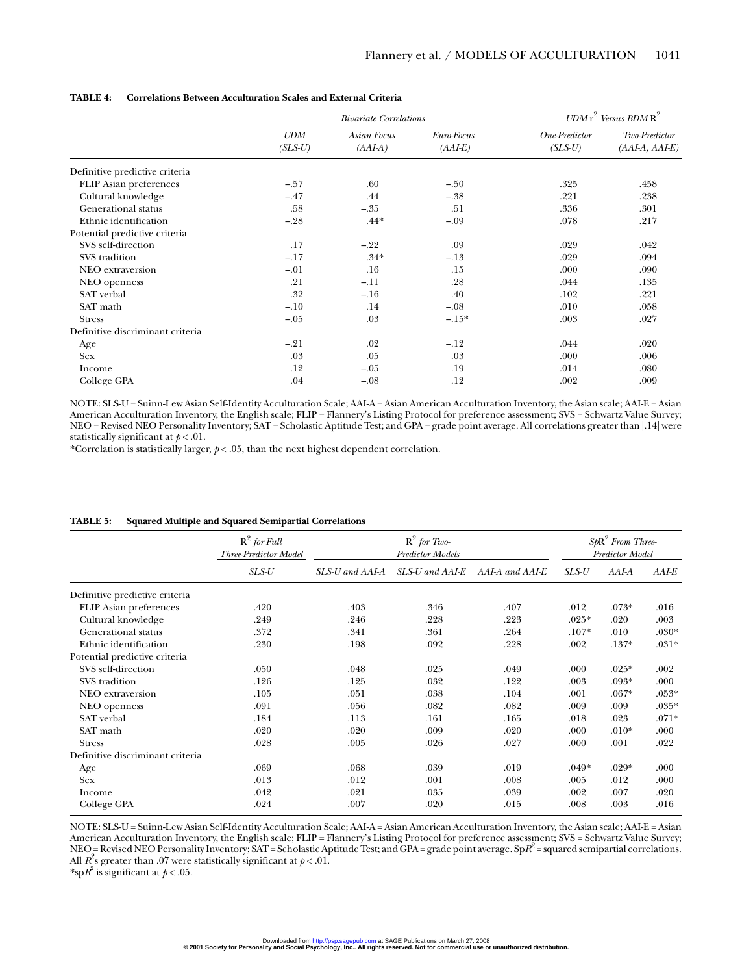|                                  | <b>Bivariate Correlations</b> |                          |                         | $\textit{UDM r}^2$ Versus BDM $\text{R}^2$ |                                   |  |
|----------------------------------|-------------------------------|--------------------------|-------------------------|--------------------------------------------|-----------------------------------|--|
|                                  | <b>UDM</b><br>$(SLS-U)$       | Asian Focus<br>$(AAI-A)$ | Euro-Focus<br>$(AAI-E)$ | One-Predictor<br>$(SLS-U)$                 | Two-Predictor<br>$(AAI-A, AAI-E)$ |  |
| Definitive predictive criteria   |                               |                          |                         |                                            |                                   |  |
| <b>FLIP</b> Asian preferences    | $-.57$                        | .60                      | $-.50$                  | .325                                       | .458                              |  |
| Cultural knowledge               | $-.47$                        | .44                      | $-.38$                  | .221                                       | .238                              |  |
| Generational status              | .58                           | $-.35$                   | .51                     | .336                                       | .301                              |  |
| Ethnic identification            | $-.28$                        | $.44*$                   | $-.09$                  | .078                                       | .217                              |  |
| Potential predictive criteria    |                               |                          |                         |                                            |                                   |  |
| SVS self-direction               | .17                           | $-.22$                   | .09                     | .029                                       | .042                              |  |
| SVS tradition                    | $-.17$                        | $.34*$                   | $-.13$                  | .029                                       | .094                              |  |
| NEO extraversion                 | $-.01$                        | .16                      | .15                     | .000                                       | .090                              |  |
| NEO openness                     | .21                           | $-.11$                   | .28                     | .044                                       | .135                              |  |
| SAT verbal                       | .32                           | $-.16$                   | .40                     | .102                                       | .221                              |  |
| SAT math                         | $-.10$                        | .14                      | $-.08$                  | .010                                       | .058                              |  |
| <b>Stress</b>                    | $-.05$                        | .03                      | $-.15*$                 | .003                                       | .027                              |  |
| Definitive discriminant criteria |                               |                          |                         |                                            |                                   |  |
| Age                              | $-.21$                        | .02                      | $-.12$                  | .044                                       | .020                              |  |
| <b>Sex</b>                       | .03                           | .05                      | .03                     | .000                                       | .006                              |  |
| Income                           | .12                           | $-.05$                   | .19                     | .014                                       | .080                              |  |
| College GPA                      | .04                           | $-.08$                   | .12                     | .002                                       | .009                              |  |

#### **TABLE 4: Correlations Between Acculturation Scales and External Criteria**

NOTE: SLS-U = Suinn-Lew Asian Self-Identity Acculturation Scale; AAI-A = Asian American Acculturation Inventory, the Asian scale; AAI-E = Asian American Acculturation Inventory, the English scale; FLIP = Flannery's Listing Protocol for preference assessment; SVS = Schwartz Value Survey; NEO = Revised NEO Personality Inventory; SAT = Scholastic Aptitude Test; and GPA = grade point average. All correlations greater than |.14| were statistically significant at  $p < .01$ .

\*Correlation is statistically larger,  $p < .05$ , than the next highest dependent correlation.

|                                  | $R^2$ for Full<br>Three-Predictor Model | $R^2$ for Two-<br><b>Predictor Models</b> |                 |                 | $SpR2$ From Three-<br>Predictor Model |         |         |
|----------------------------------|-----------------------------------------|-------------------------------------------|-----------------|-----------------|---------------------------------------|---------|---------|
|                                  | $SLS-U$                                 | SLS-U and AAI-A                           | SLS-U and AAI-E | AAI-A and AAI-E | SLS-U                                 | AAI-A   | AAI-E   |
| Definitive predictive criteria   |                                         |                                           |                 |                 |                                       |         |         |
| <b>FLIP</b> Asian preferences    | .420                                    | .403                                      | .346            | .407            | .012                                  | $.073*$ | .016    |
| Cultural knowledge               | .249                                    | .246                                      | .228            | .223            | $.025*$                               | .020    | .003    |
| Generational status              | .372                                    | .341                                      | .361            | .264            | $.107*$                               | .010    | $.030*$ |
| Ethnic identification            | .230                                    | .198                                      | .092            | .228            | .002                                  | $.137*$ | $.031*$ |
| Potential predictive criteria    |                                         |                                           |                 |                 |                                       |         |         |
| SVS self-direction               | .050                                    | .048                                      | .025            | .049            | .000                                  | $.025*$ | .002    |
| SVS tradition                    | .126                                    | .125                                      | .032            | .122            | .003                                  | $.093*$ | .000    |
| NEO extraversion                 | .105                                    | .051                                      | .038            | .104            | .001                                  | $.067*$ | $.053*$ |
| NEO openness                     | .091                                    | .056                                      | .082            | .082            | .009                                  | .009    | $.035*$ |
| SAT verbal                       | .184                                    | .113                                      | .161            | .165            | .018                                  | .023    | $.071*$ |
| SAT math                         | .020                                    | .020                                      | .009            | .020            | .000                                  | $.010*$ | .000    |
| <b>Stress</b>                    | .028                                    | .005                                      | .026            | .027            | .000                                  | .001    | .022    |
| Definitive discriminant criteria |                                         |                                           |                 |                 |                                       |         |         |
| Age                              | .069                                    | .068                                      | .039            | .019            | $.049*$                               | $.029*$ | .000    |
| <b>Sex</b>                       | .013                                    | .012                                      | .001            | .008            | .005                                  | .012    | .000    |
| Income                           | .042                                    | .021                                      | .035            | .039            | .002                                  | .007    | .020    |
| College GPA                      | .024                                    | .007                                      | .020            | .015            | .008                                  | .003    | .016    |

#### **TABLE 5: Squared Multiple and Squared Semipartial Correlations**

NOTE: SLS-U = Suinn-Lew Asian Self-Identity Acculturation Scale; AAI-A = Asian American Acculturation Inventory, the Asian scale; AAI-E = Asian American Acculturation Inventory, the English scale; FLIP = Flannery's Listing Protocol for preference assessment; SVS = Schwartz Value Survey; NEO = Revised NEO Personality Inventory; SAT = Scholastic Aptitude Test; and GPA = grade point average. SpR<sup>2</sup> = squared semipartial correlations. All  $R^2$ s greater than .07 were statistically significant at  $p < .01$ .

\*sp $R^2$  is significant at  $p < .05$ .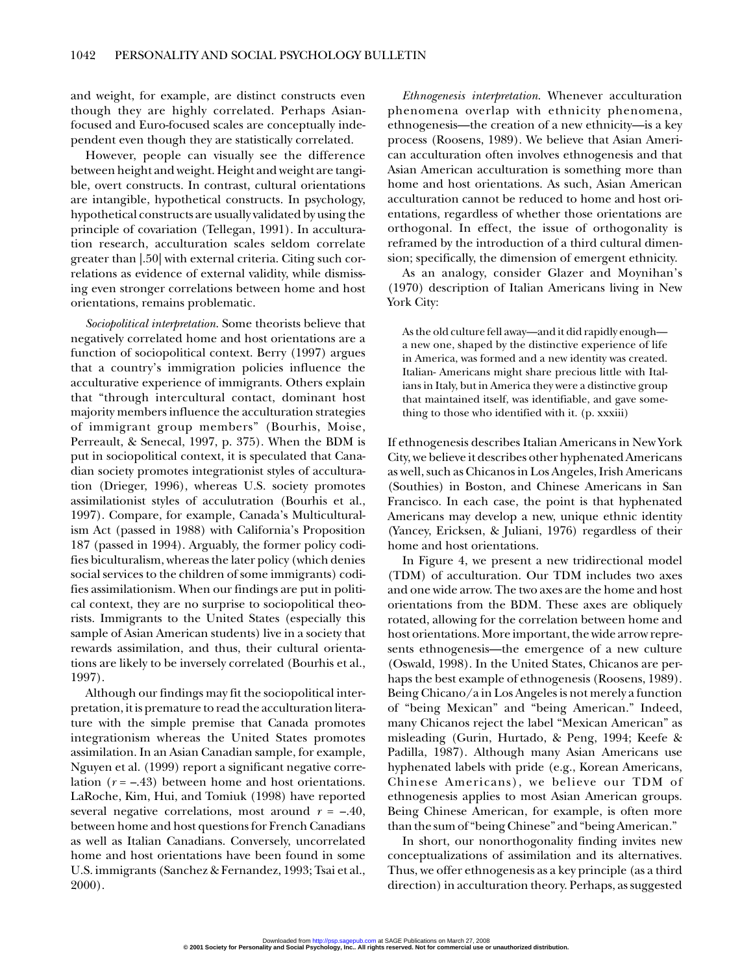and weight, for example, are distinct constructs even though they are highly correlated. Perhaps Asianfocused and Euro-focused scales are conceptually independent even though they are statistically correlated.

However, people can visually see the difference between height and weight. Height and weight are tangible, overt constructs. In contrast, cultural orientations are intangible, hypothetical constructs. In psychology, hypothetical constructs are usually validated by using the principle of covariation (Tellegan, 1991). In acculturation research, acculturation scales seldom correlate greater than |.50| with external criteria. Citing such correlations as evidence of external validity, while dismissing even stronger correlations between home and host orientations, remains problematic.

*Sociopolitical interpretation*. Some theorists believe that negatively correlated home and host orientations are a function of sociopolitical context. Berry (1997) argues that a country's immigration policies influence the acculturative experience of immigrants. Others explain that "through intercultural contact, dominant host majority members influence the acculturation strategies of immigrant group members" (Bourhis, Moise, Perreault, & Senecal, 1997, p. 375). When the BDM is put in sociopolitical context, it is speculated that Canadian society promotes integrationist styles of acculturation (Drieger, 1996), whereas U.S. society promotes assimilationist styles of acculutration (Bourhis et al., 1997). Compare, for example, Canada's Multiculturalism Act (passed in 1988) with California's Proposition 187 (passed in 1994). Arguably, the former policy codifies biculturalism, whereas the later policy (which denies social services to the children of some immigrants) codifies assimilationism. When our findings are put in political context, they are no surprise to sociopolitical theorists. Immigrants to the United States (especially this sample of Asian American students) live in a society that rewards assimilation, and thus, their cultural orientations are likely to be inversely correlated (Bourhis et al., 1997).

Although our findings may fit the sociopolitical interpretation, it is premature to read the acculturation literature with the simple premise that Canada promotes integrationism whereas the United States promotes assimilation. In an Asian Canadian sample, for example, Nguyen et al. (1999) report a significant negative correlation (*r* = –.43) between home and host orientations. LaRoche, Kim, Hui, and Tomiuk (1998) have reported several negative correlations, most around  $r = -.40$ , between home and host questions for French Canadians as well as Italian Canadians. Conversely, uncorrelated home and host orientations have been found in some U.S. immigrants (Sanchez & Fernandez, 1993; Tsai et al., 2000).

*Ethnogenesis interpretation*. Whenever acculturation phenomena overlap with ethnicity phenomena, ethnogenesis—the creation of a new ethnicity—is a key process (Roosens, 1989). We believe that Asian American acculturation often involves ethnogenesis and that Asian American acculturation is something more than home and host orientations. As such, Asian American acculturation cannot be reduced to home and host orientations, regardless of whether those orientations are orthogonal. In effect, the issue of orthogonality is reframed by the introduction of a third cultural dimension; specifically, the dimension of emergent ethnicity.

As an analogy, consider Glazer and Moynihan's (1970) description of Italian Americans living in New York City:

As the old culture fell away—and it did rapidly enough a new one, shaped by the distinctive experience of life in America, was formed and a new identity was created. Italian- Americans might share precious little with Italians in Italy, but in America they were a distinctive group that maintained itself, was identifiable, and gave something to those who identified with it. (p. xxxiii)

If ethnogenesis describes Italian Americans in New York City, we believe it describes other hyphenated Americans as well, such as Chicanos in Los Angeles, Irish Americans (Southies) in Boston, and Chinese Americans in San Francisco. In each case, the point is that hyphenated Americans may develop a new, unique ethnic identity (Yancey, Ericksen, & Juliani, 1976) regardless of their home and host orientations.

In Figure 4, we present a new tridirectional model (TDM) of acculturation. Our TDM includes two axes and one wide arrow. The two axes are the home and host orientations from the BDM. These axes are obliquely rotated, allowing for the correlation between home and host orientations. More important, the wide arrow represents ethnogenesis—the emergence of a new culture (Oswald, 1998). In the United States, Chicanos are perhaps the best example of ethnogenesis (Roosens, 1989). Being Chicano/a in Los Angeles is not merely a function of "being Mexican" and "being American." Indeed, many Chicanos reject the label "Mexican American" as misleading (Gurin, Hurtado, & Peng, 1994; Keefe & Padilla, 1987). Although many Asian Americans use hyphenated labels with pride (e.g., Korean Americans, Chinese Americans), we believe our TDM of ethnogenesis applies to most Asian American groups. Being Chinese American, for example, is often more than the sum of "being Chinese" and "being American."

In short, our nonorthogonality finding invites new conceptualizations of assimilation and its alternatives. Thus, we offer ethnogenesis as a key principle (as a third direction) in acculturation theory. Perhaps, as suggested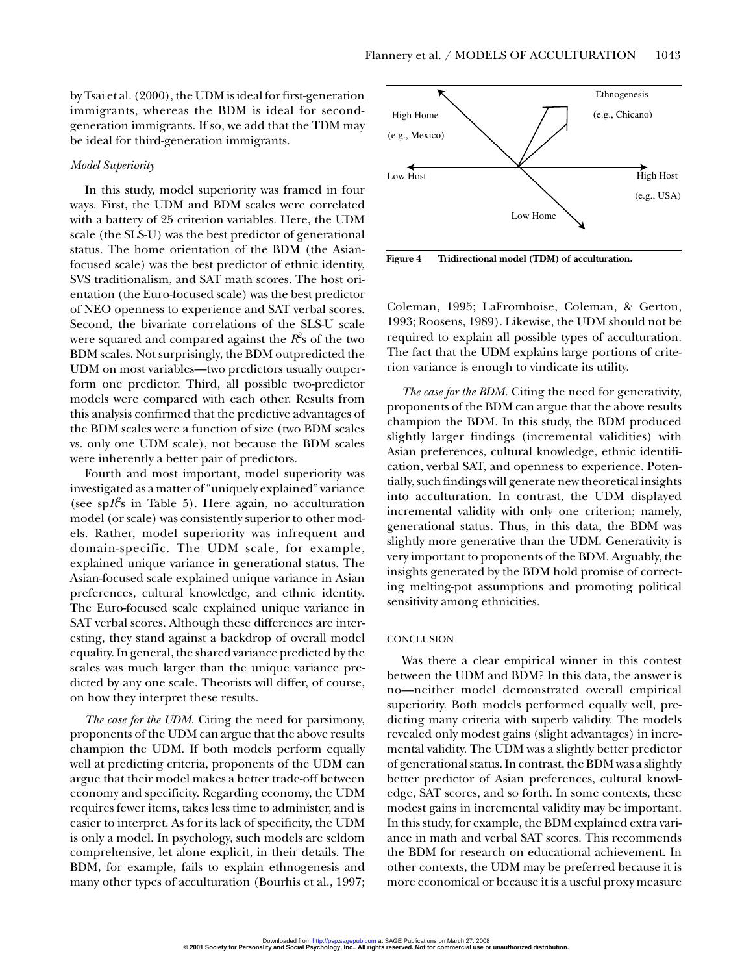by Tsai et al. (2000), the UDM is ideal for first-generation immigrants, whereas the BDM is ideal for secondgeneration immigrants. If so, we add that the TDM may be ideal for third-generation immigrants.

#### *Model Superiority*

In this study, model superiority was framed in four ways. First, the UDM and BDM scales were correlated with a battery of 25 criterion variables. Here, the UDM scale (the SLS-U) was the best predictor of generational status. The home orientation of the BDM (the Asianfocused scale) was the best predictor of ethnic identity, SVS traditionalism, and SAT math scores. The host orientation (the Euro-focused scale) was the best predictor of NEO openness to experience and SAT verbal scores. Second, the bivariate correlations of the SLS-U scale were squared and compared against the  $\mathit{R}\vphantom{R}^{\rho}$ s of the two BDM scales. Not surprisingly, the BDM outpredicted the UDM on most variables—two predictors usually outperform one predictor. Third, all possible two-predictor models were compared with each other. Results from this analysis confirmed that the predictive advantages of the BDM scales were a function of size (two BDM scales vs. only one UDM scale), not because the BDM scales were inherently a better pair of predictors.

Fourth and most important, model superiority was investigated as a matter of "uniquely explained" variance (see  $spR^2$ s in Table 5). Here again, no acculturation model (or scale) was consistently superior to other models. Rather, model superiority was infrequent and domain-specific. The UDM scale, for example, explained unique variance in generational status. The Asian-focused scale explained unique variance in Asian preferences, cultural knowledge, and ethnic identity. The Euro-focused scale explained unique variance in SAT verbal scores. Although these differences are interesting, they stand against a backdrop of overall model equality. In general, the shared variance predicted by the scales was much larger than the unique variance predicted by any one scale. Theorists will differ, of course, on how they interpret these results.

*The case for the UDM*. Citing the need for parsimony, proponents of the UDM can argue that the above results champion the UDM. If both models perform equally well at predicting criteria, proponents of the UDM can argue that their model makes a better trade-off between economy and specificity. Regarding economy, the UDM requires fewer items, takes less time to administer, and is easier to interpret. As for its lack of specificity, the UDM is only a model. In psychology, such models are seldom comprehensive, let alone explicit, in their details. The BDM, for example, fails to explain ethnogenesis and many other types of acculturation (Bourhis et al., 1997;



**Figure 4 Tridirectional model (TDM) of acculturation.**

Coleman, 1995; LaFromboise, Coleman, & Gerton, 1993; Roosens, 1989). Likewise, the UDM should not be required to explain all possible types of acculturation. The fact that the UDM explains large portions of criterion variance is enough to vindicate its utility.

*The case for the BDM.* Citing the need for generativity, proponents of the BDM can argue that the above results champion the BDM. In this study, the BDM produced slightly larger findings (incremental validities) with Asian preferences, cultural knowledge, ethnic identification, verbal SAT, and openness to experience. Potentially, such findings will generate new theoretical insights into acculturation. In contrast, the UDM displayed incremental validity with only one criterion; namely, generational status. Thus, in this data, the BDM was slightly more generative than the UDM. Generativity is very important to proponents of the BDM. Arguably, the insights generated by the BDM hold promise of correcting melting-pot assumptions and promoting political sensitivity among ethnicities.

#### **CONCLUSION**

Was there a clear empirical winner in this contest between the UDM and BDM? In this data, the answer is no—neither model demonstrated overall empirical superiority. Both models performed equally well, predicting many criteria with superb validity. The models revealed only modest gains (slight advantages) in incremental validity. The UDM was a slightly better predictor of generational status. In contrast, the BDM was a slightly better predictor of Asian preferences, cultural knowledge, SAT scores, and so forth. In some contexts, these modest gains in incremental validity may be important. In this study, for example, the BDM explained extra variance in math and verbal SAT scores. This recommends the BDM for research on educational achievement. In other contexts, the UDM may be preferred because it is more economical or because it is a useful proxy measure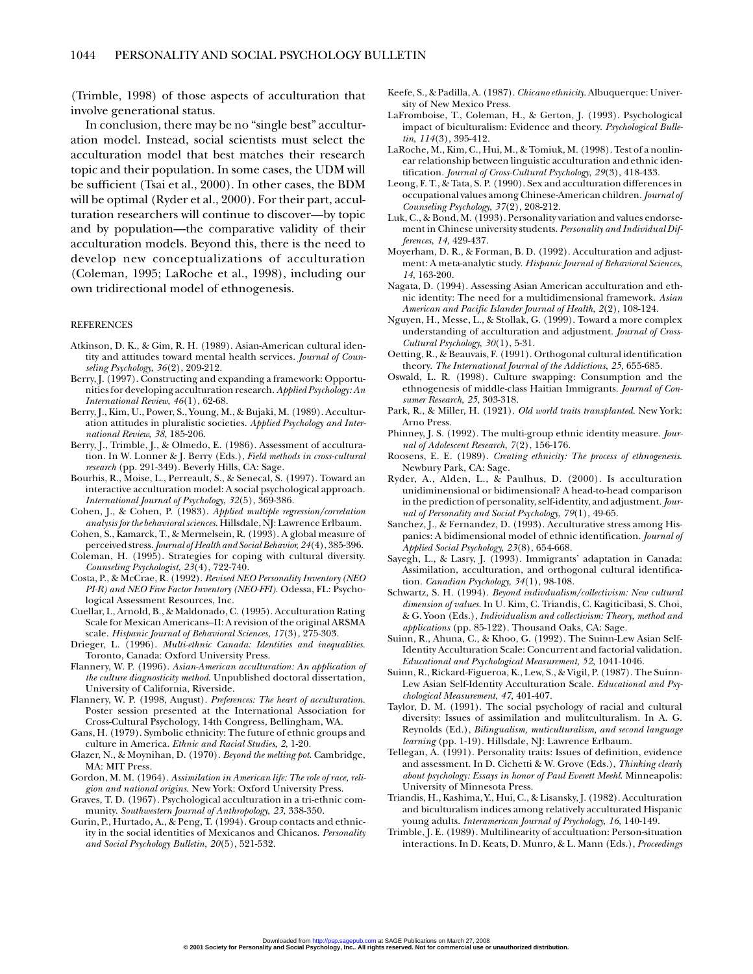(Trimble, 1998) of those aspects of acculturation that involve generational status.

In conclusion, there may be no "single best" acculturation model. Instead, social scientists must select the acculturation model that best matches their research topic and their population. In some cases, the UDM will be sufficient (Tsai et al., 2000). In other cases, the BDM will be optimal (Ryder et al., 2000). For their part, acculturation researchers will continue to discover—by topic and by population—the comparative validity of their acculturation models. Beyond this, there is the need to develop new conceptualizations of acculturation (Coleman, 1995; LaRoche et al., 1998), including our own tridirectional model of ethnogenesis.

#### REFERENCES

- Atkinson, D. K., & Gim, R. H. (1989). Asian-American cultural identity and attitudes toward mental health services. *Journal of Counseling Psychology*, *36*(2), 209-212.
- Berry, J. (1997). Constructing and expanding a framework: Opportunities for developing acculturation research. *Applied Psychology: An International Review*, *46*(1), 62-68.
- Berry, J., Kim, U., Power, S., Young, M., & Bujaki, M. (1989). Acculturation attitudes in pluralistic societies. *Applied Psychology and International Review*, *38*, 185-206.
- Berry, J., Trimble, J., & Olmedo, E. (1986). Assessment of acculturation. In W. Lonner & J. Berry (Eds.), *Field methods in cross-cultural research* (pp. 291-349). Beverly Hills, CA: Sage.
- Bourhis, R., Moise, L., Perreault, S., & Senecal, S. (1997). Toward an interactive acculturation model: A social psychological approach. *International Journal of Psychology*, *32*(5), 369-386.
- Cohen, J., & Cohen, P. (1983). *Applied multiple regression/correlation analysis for the behavioral sciences*. Hillsdale, NJ: Lawrence Erlbaum.
- Cohen, S., Kamarck, T., & Mermelsein, R. (1993). A global measure of perceived stress. *Journal of Health and Social Behavior*, *24*(4), 385-396.
- Coleman, H. (1995). Strategies for coping with cultural diversity. *Counseling Psychologist*, *23*(4), 722-740.
- Costa, P., & McCrae, R. (1992). *Revised NEO Personality Inventory (NEO PI-R) and NEO Five Factor Inventory (NEO-FFI)*. Odessa, FL: Psychological Assessment Resources, Inc.
- Cuellar, I., Arnold, B., & Maldonado, C. (1995). Acculturation Rating Scale for Mexican Americans–II: A revision of the original ARSMA scale. *Hispanic Journal of Behavioral Sciences*, *17*(3), 275-303.
- Drieger, L. (1996). *Multi-ethnic Canada: Identities and inequalities*. Toronto, Canada: Oxford University Press.
- Flannery, W. P. (1996). *Asian-American acculturation: An application of the culture diagnosticity method*. Unpublished doctoral dissertation, University of California, Riverside.
- Flannery, W. P. (1998, August). *Preferences: The heart of acculturation*. Poster session presented at the International Association for Cross-Cultural Psychology, 14th Congress, Bellingham, WA.
- Gans, H. (1979). Symbolic ethnicity: The future of ethnic groups and culture in America. *Ethnic and Racial Studies*, *2*, 1-20.
- Glazer, N., & Moynihan, D. (1970). *Beyond the melting pot*. Cambridge, MA: MIT Press.
- Gordon, M. M. (1964). *Assimilation in American life: The role of race, religion and national origins*. New York: Oxford University Press.
- Graves, T. D. (1967). Psychological acculturation in a tri-ethnic community. *Southwestern Journal of Anthropology*, *23*, 338-350.
- Gurin, P., Hurtado, A., & Peng, T. (1994). Group contacts and ethnicity in the social identities of Mexicanos and Chicanos. *Personality and Social Psychology Bulletin*, *20*(5), 521-532.
- Keefe, S., & Padilla, A. (1987). *Chicano ethnicity*. Albuquerque: University of New Mexico Press.
- LaFromboise, T., Coleman, H., & Gerton, J. (1993). Psychological impact of biculturalism: Evidence and theory. *Psychological Bulletin*, *114*(3), 395-412.
- LaRoche, M., Kim, C., Hui, M., & Tomiuk, M. (1998). Test of a nonlinear relationship between linguistic acculturation and ethnic identification. *Journal of Cross-Cultural Psychology*, *29*(3), 418-433.
- Leong, F. T., & Tata, S. P. (1990). Sex and acculturation differences in occupational values among Chinese-American children. *Journal of Counseling Psychology*, *37*(2), 208-212.
- Luk, C., & Bond, M. (1993). Personality variation and values endorsement in Chinese university students. *Personality and Individual Differences*, *14*, 429-437.
- Moyerham, D. R., & Forman, B. D. (1992). Acculturation and adjustment: A meta-analytic study. *Hispanic Journal of Behavioral Sciences*, *14*, 163-200.
- Nagata, D. (1994). Assessing Asian American acculturation and ethnic identity: The need for a multidimensional framework. *Asian American and Pacific Islander Journal of Health*, *2*(2), 108-124.
- Nguyen, H., Messe, L., & Stollak, G. (1999). Toward a more complex understanding of acculturation and adjustment. *Journal of Cross-Cultural Psychology*, *30*(1), 5-31.
- Oetting, R., & Beauvais, F. (1991). Orthogonal cultural identification theory. *The International Journal of the Addictions*, *25*, 655-685.
- Oswald, L. R. (1998). Culture swapping: Consumption and the ethnogenesis of middle-class Haitian Immigrants. *Journal of Consumer Research*, *25*, 303-318.
- Park, R., & Miller, H. (1921). *Old world traits transplanted*. New York: Arno Press.
- Phinney, J. S. (1992). The multi-group ethnic identity measure. *Journal of Adolescent Research*, *7*(2), 156-176.
- Roosens, E. E. (1989). *Creating ethnicity: The process of ethnogenesis*. Newbury Park, CA: Sage.
- Ryder, A., Alden, L., & Paulhus, D. (2000). Is acculturation unidiminensional or bidimensional? A head-to-head comparison in the prediction of personality, self-identity, and adjustment. *Journal of Personality and Social Psychology*, *79*(1), 49-65.
- Sanchez, J., & Fernandez, D. (1993). Acculturative stress among Hispanics: A bidimensional model of ethnic identification. *Journal of Applied Social Psychology*, *23*(8), 654-668.
- Sayegh, L., & Lasry, J. (1993). Immigrants' adaptation in Canada: Assimilation, acculturation, and orthogonal cultural identification. *Canadian Psychology*, *34*(1), 98-108.
- Schwartz, S. H. (1994). *Beyond indivdualism/collectivism: New cultural dimension of values*. In U. Kim, C. Triandis, C. Kagiticibasi, S. Choi, & G. Yoon (Eds.), *Individualism and collectivism: Theory, method and applications* (pp. 85-122). Thousand Oaks, CA: Sage.
- Suinn, R., Ahuna, C., & Khoo, G. (1992). The Suinn-Lew Asian Self-Identity Acculturation Scale: Concurrent and factorial validation. *Educational and Psychological Measurement*, *52*, 1041-1046.
- Suinn, R., Rickard-Figueroa, K., Lew, S., & Vigil, P. (1987). The Suinn-Lew Asian Self-Identity Acculturation Scale. *Educational and Psychological Measurement*, *47*, 401-407.
- Taylor, D. M. (1991). The social psychology of racial and cultural diversity: Issues of assimilation and mulitculturalism. In A. G. Reynolds (Ed.), *Bilingualism, muticulturalism, and second language learning* (pp. 1-19). Hillsdale, NJ: Lawrence Erlbaum.
- Tellegan, A. (1991). Personality traits: Issues of definition, evidence and assessment. In D. Cichetti & W. Grove (Eds.), *Thinking clearly about psychology: Essays in honor of Paul Everett Meehl*. Minneapolis: University of Minnesota Press.
- Triandis, H., Kashima, Y., Hui, C., & Lisansky, J. (1982). Acculturation and biculturalism indices among relatively acculturated Hispanic young adults. *Interamerican Journal of Psychology*, *16*, 140-149.
- Trimble, J. E. (1989). Multilinearity of accultuation: Person-situation interactions. In D. Keats, D. Munro, & L. Mann (Eds.), *Proceedings*